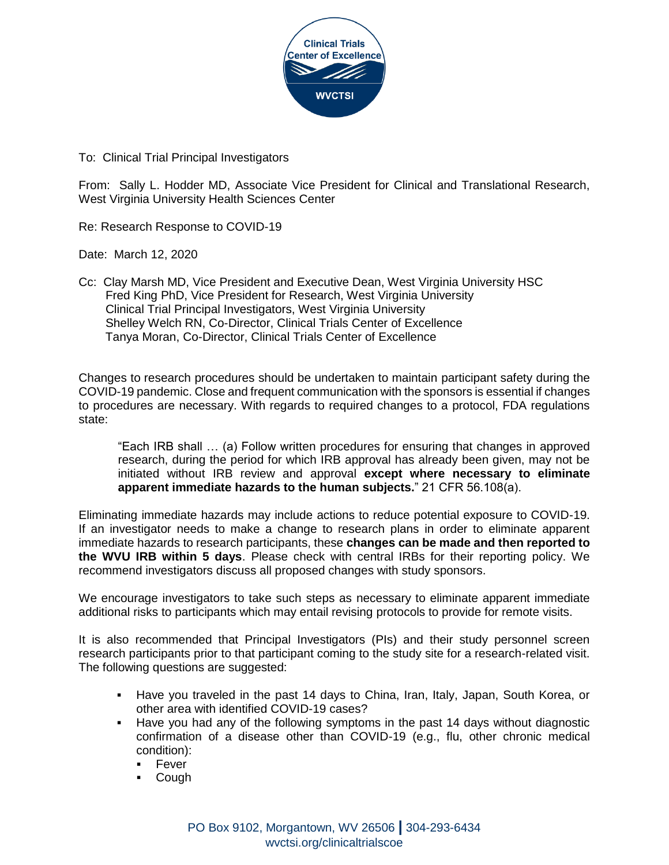

To: Clinical Trial Principal Investigators

From: Sally L. Hodder MD, Associate Vice President for Clinical and Translational Research, West Virginia University Health Sciences Center

Re: Research Response to COVID-19

Date: March 12, 2020

Cc: Clay Marsh MD, Vice President and Executive Dean, West Virginia University HSC Fred King PhD, Vice President for Research, West Virginia University Clinical Trial Principal Investigators, West Virginia University Shelley Welch RN, Co-Director, Clinical Trials Center of Excellence Tanya Moran, Co-Director, Clinical Trials Center of Excellence

Changes to research procedures should be undertaken to maintain participant safety during the COVID-19 pandemic. Close and frequent communication with the sponsors is essential if changes to procedures are necessary. With regards to required changes to a protocol, FDA regulations state:

"Each IRB shall … (a) Follow written procedures for ensuring that changes in approved research, during the period for which IRB approval has already been given, may not be initiated without IRB review and approval **except where necessary to eliminate apparent immediate hazards to the human subjects.**" 21 CFR 56.108(a).

Eliminating immediate hazards may include actions to reduce potential exposure to COVID-19. If an investigator needs to make a change to research plans in order to eliminate apparent immediate hazards to research participants, these **changes can be made and then reported to the WVU IRB within 5 days**. Please check with central IRBs for their reporting policy. We recommend investigators discuss all proposed changes with study sponsors.

We encourage investigators to take such steps as necessary to eliminate apparent immediate additional risks to participants which may entail revising protocols to provide for remote visits.

It is also recommended that Principal Investigators (PIs) and their study personnel screen research participants prior to that participant coming to the study site for a research-related visit. The following questions are suggested:

- Have you traveled in the past 14 days to China, Iran, Italy, Japan, South Korea, or other area with identified COVID-19 cases?
- Have you had any of the following symptoms in the past 14 days without diagnostic confirmation of a disease other than COVID-19 (e.g., flu, other chronic medical condition):
	- $-$  Fever
	- Cough